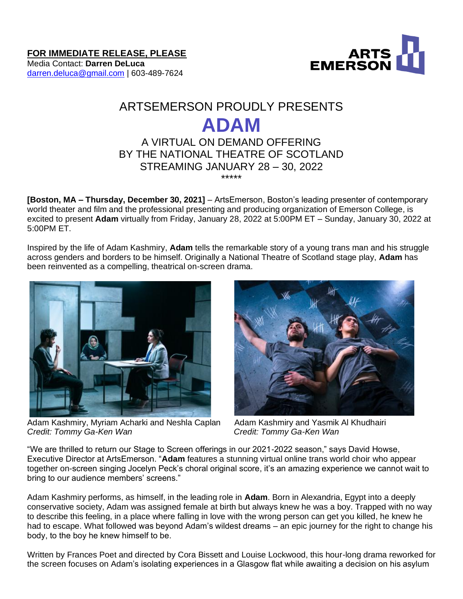**FOR IMMEDIATE RELEASE, PLEASE**

Media Contact: **Darren DeLuca** [darren.deluca@gmail.com](mailto:darren.deluca@gmail.com) | 603-489-7624



# ARTSEMERSON PROUDLY PRESENTS **ADAM** A VIRTUAL ON DEMAND OFFERING BY THE NATIONAL THEATRE OF SCOTLAND

# STREAMING JANUARY 28 – 30, 2022 \*\*\*\*\*

**[Boston, MA – Thursday, December 30, 2021]** – ArtsEmerson, Boston's leading presenter of contemporary world theater and film and the professional presenting and producing organization of Emerson College, is excited to present **Adam** virtually from Friday, January 28, 2022 at 5:00PM ET – Sunday, January 30, 2022 at 5:00PM ET.

Inspired by the life of Adam Kashmiry, **Adam** tells the remarkable story of a young trans man and his struggle across genders and borders to be himself. Originally a National Theatre of Scotland stage play, **Adam** has been reinvented as a compelling, theatrical on-screen drama.



Adam Kashmiry, Myriam Acharki and Neshla Caplan Adam Kashmiry and Yasmik Al Khudhairi *Credit: Tommy Ga-Ken Wan Credit: Tommy Ga-Ken Wan*



"We are thrilled to return our Stage to Screen offerings in our 2021-2022 season," says David Howse, Executive Director at ArtsEmerson. "**Adam** features a stunning virtual online trans world choir who appear together on-screen singing Jocelyn Peck's choral original score, it's an amazing experience we cannot wait to bring to our audience members' screens."

Adam Kashmiry performs, as himself, in the leading role in **Adam**. Born in Alexandria, Egypt into a deeply conservative society, Adam was assigned female at birth but always knew he was a boy. Trapped with no way to describe this feeling, in a place where falling in love with the wrong person can get you killed, he knew he had to escape. What followed was beyond Adam's wildest dreams – an epic journey for the right to change his body, to the boy he knew himself to be. 

Written by Frances Poet and directed by Cora Bissett and Louise Lockwood, this hour-long drama reworked for the screen focuses on Adam's isolating experiences in a Glasgow flat while awaiting a decision on his asylum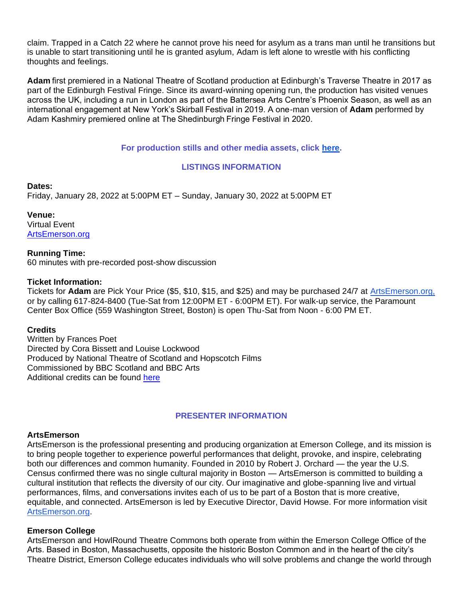claim. Trapped in a Catch 22 where he cannot prove his need for asylum as a trans man until he transitions but is unable to start transitioning until he is granted asylum, Adam is left alone to wrestle with his conflicting thoughts and feelings.

**Adam** first premiered in a National Theatre of Scotland production at Edinburgh's Traverse Theatre in 2017 as part of the Edinburgh Festival Fringe. Since its award-winning opening run, the production has visited venues across the UK, including a run in London as part of the Battersea Arts Centre's Phoenix Season, as well as an international engagement at New York's Skirball Festival in 2019. A one-man version of **Adam** performed by Adam Kashmiry premiered online at The Shedinburgh Fringe Festival in 2020. 

# **For production stills and other media assets, click [here.](https://www.google.com/url?q=https://www.nationaltheatrescotland.com/events/adam&sa=D&source=docs&ust=1640708886123573&usg=AOvVaw0hRSBElGPLGOCwT7zwgwbH)**

# **LISTINGS INFORMATION**

### **Dates:**

Friday, January 28, 2022 at 5:00PM ET – Sunday, January 30, 2022 at 5:00PM ET

**Venue:** Virtual Event [ArtsEmerson.org](http://artsemerson.org/)

## **Running Time:**

60 minutes with pre-recorded post-show discussion

#### **Ticket Information:**

Tickets for **Adam** are Pick Your Price (\$5, \$10, \$15, and \$25) and may be purchased 24/7 at [ArtsEmerson.org,](https://artsemerson.org/events/iphigenia/) or by calling 617-824-8400 (Tue-Sat from 12:00PM ET - 6:00PM ET). For walk-up service, the Paramount Center Box Office (559 Washington Street, Boston) is open Thu-Sat from Noon - 6:00 PM ET.

#### **Credits**

Written by Frances Poet Directed by Cora Bissett and Louise Lockwood Produced by National Theatre of Scotland and Hopscotch Films Commissioned by BBC Scotland and BBC Arts Additional credits can be found [here](http://www.nationaltheatrescotland.com/events/adam)

### **PRESENTER INFORMATION**

## **ArtsEmerson**

ArtsEmerson is the professional presenting and producing organization at Emerson College, and its mission is to bring people together to experience powerful performances that delight, provoke, and inspire, celebrating both our differences and common humanity. Founded in 2010 by Robert J. Orchard — the year the U.S. Census confirmed there was no single cultural majority in Boston — ArtsEmerson is committed to building a cultural institution that reflects the diversity of our city. Our imaginative and globe-spanning live and virtual performances, films, and conversations invites each of us to be part of a Boston that is more creative, equitable, and connected. ArtsEmerson is led by Executive Director, David Howse. For more information visit [ArtsEmerson.org.](http://artsemerson.org/)

#### **Emerson College**

ArtsEmerson and HowlRound Theatre Commons both operate from within the Emerson College Office of the Arts. Based in Boston, Massachusetts, opposite the historic Boston Common and in the heart of the city's Theatre District, Emerson College educates individuals who will solve problems and change the world through